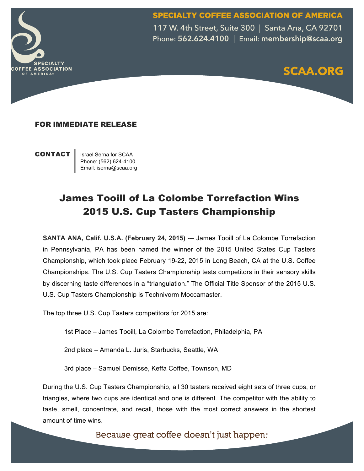SPECIALTY COFFEE ASSOCIATION OF AMERICA



117 W. 4th Street, Suite 300 | Santa Ana, CA 92701 Phone: 562.624.4100 | Email: membership@scaa.org



### FOR IMMEDIATE RELEASE

**CONTACT** | Israel Serna for SCAA

Phone: (562) 624-4100 Email: iserna@scaa.org

# James Tooill of La Colombe Torrefaction Wins 2015 U.S. Cup Tasters Championship

**SANTA ANA, Calif. U.S.A. (February 24, 2015) ---** James Tooill of La Colombe Torrefaction in Pennsylvania, PA has been named the winner of the 2015 United States Cup Tasters Championship, which took place February 19-22, 2015 in Long Beach, CA at the U.S. Coffee Championships. The U.S. Cup Tasters Championship tests competitors in their sensory skills by discerning taste differences in a "triangulation." The Official Title Sponsor of the 2015 U.S. U.S. Cup Tasters Championship is Technivorm Moccamaster.

The top three U.S. Cup Tasters competitors for 2015 are:

1st Place – James Tooill, La Colombe Torrefaction, Philadelphia, PA

2nd place – Amanda L. Juris, Starbucks, Seattle, WA

3rd place – Samuel Demisse, Keffa Coffee, Townson, MD

During the U.S. Cup Tasters Championship, all 30 tasters received eight sets of three cups, or triangles, where two cups are identical and one is different. The competitor with the ability to taste, smell, concentrate, and recall, those with the most correct answers in the shortest amount of time wins.

Because great coffee doesn't just happen.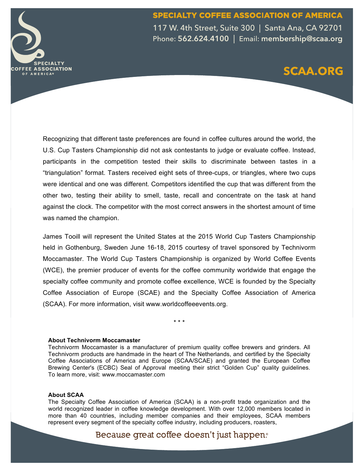SPECIALTY COFFEE ASSOCIATION OF AMERICA 117 W. 4th Street, Suite 300 | Santa Ana, CA 92701 Phone: 562.624.4100 | Email: membership@scaa.org

## **SCAA.ORG**

Recognizing that different taste preferences are found in coffee cultures around the world, the U.S. Cup Tasters Championship did not ask contestants to judge or evaluate coffee. Instead, participants in the competition tested their skills to discriminate between tastes in a "triangulation" format. Tasters received eight sets of three-cups, or triangles, where two cups were identical and one was different. Competitors identified the cup that was different from the other two, testing their ability to smell, taste, recall and concentrate on the task at hand against the clock. The competitor with the most correct answers in the shortest amount of time was named the champion.

James Tooill will represent the United States at the 2015 World Cup Tasters Championship held in Gothenburg, Sweden June 16-18, 2015 courtesy of travel sponsored by Technivorm Moccamaster. The World Cup Tasters Championship is organized by World Coffee Events (WCE), the premier producer of events for the coffee community worldwide that engage the specialty coffee community and promote coffee excellence, WCE is founded by the Specialty Coffee Association of Europe (SCAE) and the Specialty Coffee Association of America (SCAA). For more information, visit www.worldcoffeeevents.org.

\* \* \*

#### **About Technivorm Moccamaster**

Technivorm Moccamaster is a manufacturer of premium quality coffee brewers and grinders. All Technivorm products are handmade in the heart of The Netherlands, and certified by the Specialty Coffee Associations of America and Europe (SCAA/SCAE) and granted the European Coffee Brewing Center's (ECBC) Seal of Approval meeting their strict "Golden Cup" quality guidelines. To learn more, visit: www.moccamaster.com

#### **About SCAA**

**SPECIALTY COFFEE ASSOCIATION** 

OF AMERICA®

The Specialty Coffee Association of America (SCAA) is a non-profit trade organization and the world recognized leader in coffee knowledge development. With over 12,000 members located in more than 40 countries, including member companies and their employees, SCAA members represent every segment of the specialty coffee industry, including producers, roasters,

Because great coffee doesn't just happen.